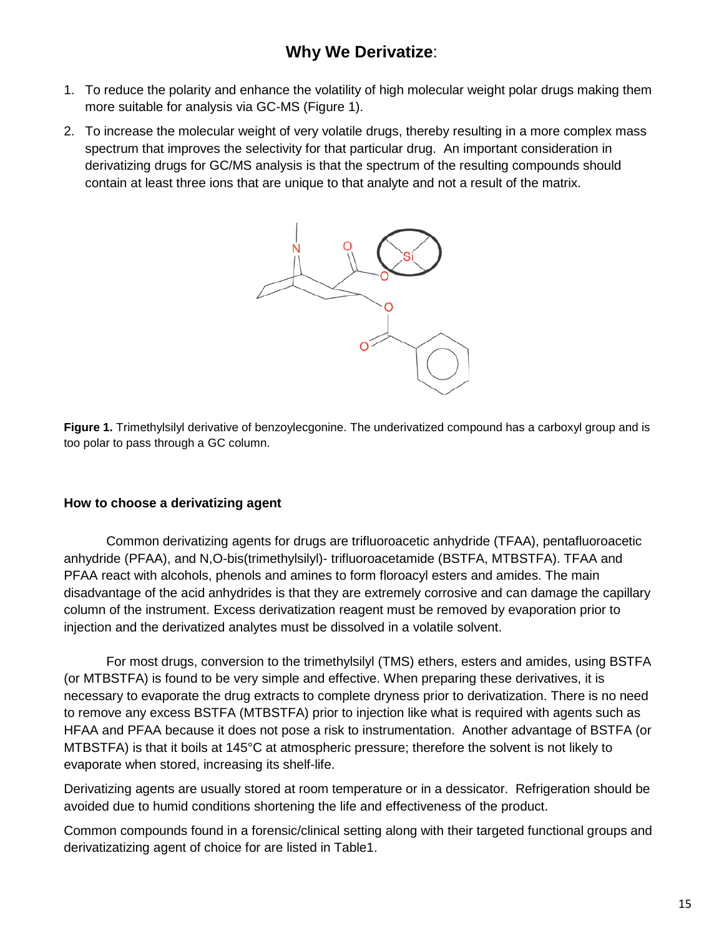# **Why We Derivatize**:

- 1. To reduce the polarity and enhance the volatility of high molecular weight polar drugs making them more suitable for analysis via GC-MS (Figure 1).
- 2. To increase the molecular weight of very volatile drugs, thereby resulting in a more complex mass spectrum that improves the selectivity for that particular drug. An important consideration in derivatizing drugs for GC/MS analysis is that the spectrum of the resulting compounds should contain at least three ions that are unique to that analyte and not a result of the matrix.



**Figure 1.** Trimethylsilyl derivative of benzoylecgonine. The underivatized compound has a carboxyl group and is too polar to pass through a GC column.

#### **How to choose a derivatizing agent**

Common derivatizing agents for drugs are trifluoroacetic anhydride (TFAA), pentafluoroacetic anhydride (PFAA), and N,O-bis(trimethylsilyl)- trifluoroacetamide (BSTFA, MTBSTFA). TFAA and PFAA react with alcohols, phenols and amines to form floroacyl esters and amides. The main disadvantage of the acid anhydrides is that they are extremely corrosive and can damage the capillary column of the instrument. Excess derivatization reagent must be removed by evaporation prior to injection and the derivatized analytes must be dissolved in a volatile solvent.

For most drugs, conversion to the trimethylsilyl (TMS) ethers, esters and amides, using BSTFA (or MTBSTFA) is found to be very simple and effective. When preparing these derivatives, it is necessary to evaporate the drug extracts to complete dryness prior to derivatization. There is no need to remove any excess BSTFA (MTBSTFA) prior to injection like what is required with agents such as HFAA and PFAA because it does not pose a risk to instrumentation. Another advantage of BSTFA (or MTBSTFA) is that it boils at 145°C at atmospheric pressure; therefore the solvent is not likely to evaporate when stored, increasing its shelf-life.

Derivatizing agents are usually stored at room temperature or in a dessicator. Refrigeration should be avoided due to humid conditions shortening the life and effectiveness of the product.

Common compounds found in a forensic/clinical setting along with their targeted functional groups and derivatizatizing agent of choice for are listed in Table1.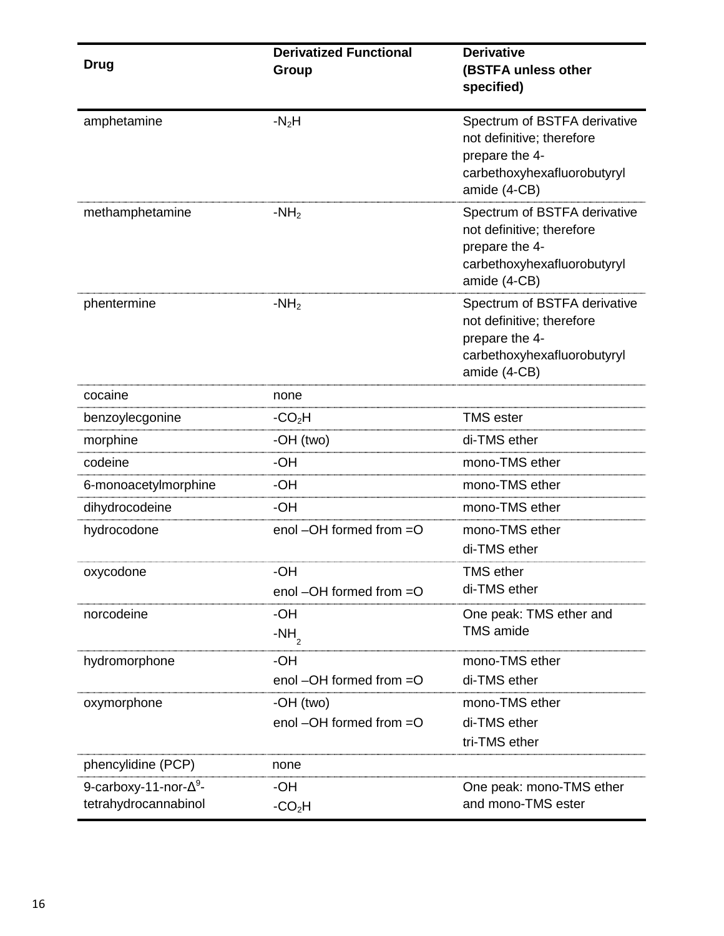|                                                        | <b>Derivatized Functional</b>        | <b>Derivative</b>                                                                                                          |
|--------------------------------------------------------|--------------------------------------|----------------------------------------------------------------------------------------------------------------------------|
| <b>Drug</b>                                            | Group                                | (BSTFA unless other                                                                                                        |
|                                                        |                                      | specified)                                                                                                                 |
| amphetamine                                            | $-N2H$                               | Spectrum of BSTFA derivative<br>not definitive; therefore<br>prepare the 4-<br>carbethoxyhexafluorobutyryl<br>amide (4-CB) |
| methamphetamine                                        | $-NH2$                               | Spectrum of BSTFA derivative<br>not definitive; therefore<br>prepare the 4-<br>carbethoxyhexafluorobutyryl<br>amide (4-CB) |
| phentermine                                            | $-NH2$                               | Spectrum of BSTFA derivative<br>not definitive; therefore<br>prepare the 4-<br>carbethoxyhexafluorobutyryl<br>amide (4-CB) |
| cocaine                                                | none                                 |                                                                                                                            |
| benzoylecgonine                                        | $-CO2H$                              | <b>TMS</b> ester                                                                                                           |
| morphine                                               | -OH (two)                            | di-TMS ether                                                                                                               |
| codeine                                                | -OH                                  | mono-TMS ether                                                                                                             |
| 6-monoacetylmorphine                                   | -OH                                  | mono-TMS ether                                                                                                             |
| dihydrocodeine                                         | -OH                                  | mono-TMS ether                                                                                                             |
| hydrocodone                                            | enol $-OH$ formed from $=$ O         | mono-TMS ether<br>di-TMS ether                                                                                             |
| oxycodone                                              | -OH<br>enol $-OH$ formed from $=O$   | <b>TMS</b> ether<br>di-TMS ether                                                                                           |
| norcodeine                                             | -OH<br>$-NH$ <sub>2</sub>            | One peak: TMS ether and<br><b>TMS</b> amide                                                                                |
| hydromorphone                                          | -OH<br>enol $-OH$ formed from $=$ O  | mono-TMS ether<br>di-TMS ether                                                                                             |
| oxymorphone                                            | -OH (two)<br>enol -OH formed from =O | mono-TMS ether<br>di-TMS ether<br>tri-TMS ether                                                                            |
| phencylidine (PCP)                                     | none                                 |                                                                                                                            |
| 9-carboxy-11-nor- $\Delta^9$ -<br>tetrahydrocannabinol | -OH<br>$-CO2H$                       | One peak: mono-TMS ether<br>and mono-TMS ester                                                                             |